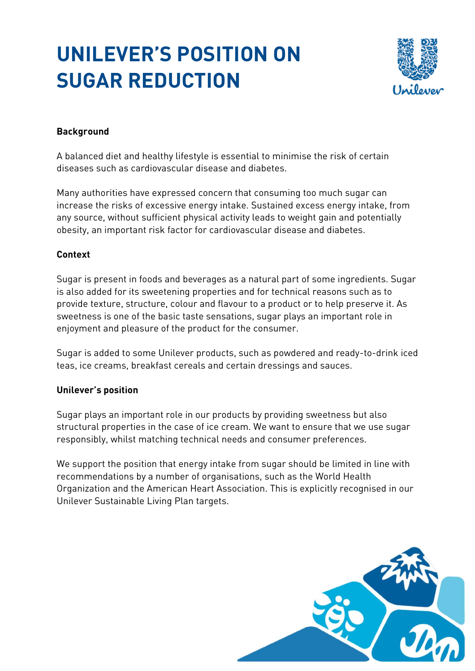## **UNILEVER'S POSITION ON SUGAR REDUCTION**



## **Background**

A balanced diet and healthy lifestyle is essential to minimise the risk of certain diseases such as cardiovascular disease and diabetes.

Many authorities have expressed concern that consuming too much sugar can increase the risks of excessive energy intake. Sustained excess energy intake, from any source, without sufficient physical activity leads to weight gain and potentially obesity, an important risk factor for cardiovascular disease and diabetes.

## **Context**

Sugar is present in foods and beverages as a natural part of some ingredients. Sugar is also added for its sweetening properties and for technical reasons such as to provide texture, structure, colour and flavour to a product or to help preserve it. As sweetness is one of the basic taste sensations, sugar plays an important role in enjoyment and pleasure of the product for the consumer.

Sugar is added to some Unilever products, such as powdered and ready-to-drink iced teas, ice creams, breakfast cereals and certain dressings and sauces.

## **Unilever's position**

Sugar plays an important role in our products by providing sweetness but also structural properties in the case of ice cream. We want to ensure that we use sugar responsibly, whilst matching technical needs and consumer preferences.

We support the position that energy intake from sugar should be limited in line with recommendations by a number of organisations, such as the World Health Organization and the American Heart Association. This is explicitly recognised in our Unilever Sustainable Living Plan targets.

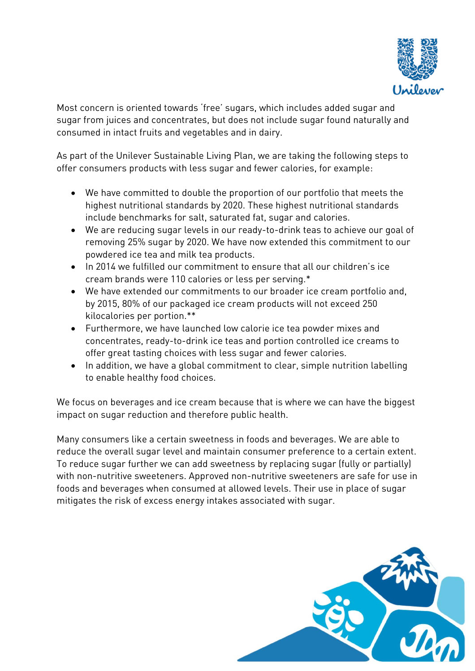

Most concern is oriented towards 'free' sugars, which includes added sugar and sugar from juices and concentrates, but does not include sugar found naturally and consumed in intact fruits and vegetables and in dairy.

As part of the Unilever Sustainable Living Plan, we are taking the following steps to offer consumers products with less sugar and fewer calories, for example:

- We have committed to double the proportion of our portfolio that meets the highest nutritional standards by 2020. These highest nutritional standards include benchmarks for salt, saturated fat, sugar and calories.
- We are reducing sugar levels in our ready-to-drink teas to achieve our goal of removing 25% sugar by 2020. We have now extended this commitment to our powdered ice tea and milk tea products.
- In 2014 we fulfilled our commitment to ensure that all our children's ice cream brands were 110 calories or less per serving.\*
- We have extended our commitments to our broader ice cream portfolio and, by 2015, 80% of our packaged ice cream products will not exceed 250 kilocalories per portion.\*\*
- Furthermore, we have launched low calorie ice tea powder mixes and concentrates, ready-to-drink ice teas and portion controlled ice creams to offer great tasting choices with less sugar and fewer calories.
- In addition, we have a global commitment to clear, simple nutrition labelling to enable healthy food choices.

We focus on beverages and ice cream because that is where we can have the biggest impact on sugar reduction and therefore public health.

Many consumers like a certain sweetness in foods and beverages. We are able to reduce the overall sugar level and maintain consumer preference to a certain extent. To reduce sugar further we can add sweetness by replacing sugar (fully or partially) with non-nutritive sweeteners. Approved non-nutritive sweeteners are safe for use in foods and beverages when consumed at allowed levels. Their use in place of sugar mitigates the risk of excess energy intakes associated with sugar.